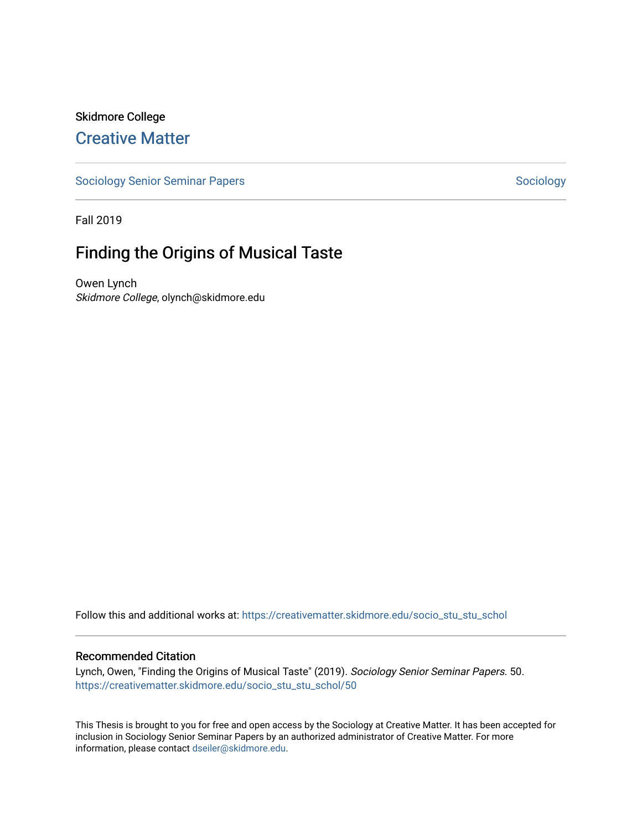# Skidmore College [Creative Matter](https://creativematter.skidmore.edu/)

[Sociology Senior Seminar Papers](https://creativematter.skidmore.edu/socio_stu_stu_schol) [Sociology](https://creativematter.skidmore.edu/stu_schol_socio_stu) Senior Seminar Papers Sociology

Fall 2019

# Finding the Origins of Musical Taste

Owen Lynch Skidmore College, olynch@skidmore.edu

Follow this and additional works at: [https://creativematter.skidmore.edu/socio\\_stu\\_stu\\_schol](https://creativematter.skidmore.edu/socio_stu_stu_schol?utm_source=creativematter.skidmore.edu%2Fsocio_stu_stu_schol%2F50&utm_medium=PDF&utm_campaign=PDFCoverPages) 

# Recommended Citation

Lynch, Owen, "Finding the Origins of Musical Taste" (2019). Sociology Senior Seminar Papers. 50. [https://creativematter.skidmore.edu/socio\\_stu\\_stu\\_schol/50](https://creativematter.skidmore.edu/socio_stu_stu_schol/50?utm_source=creativematter.skidmore.edu%2Fsocio_stu_stu_schol%2F50&utm_medium=PDF&utm_campaign=PDFCoverPages)

This Thesis is brought to you for free and open access by the Sociology at Creative Matter. It has been accepted for inclusion in Sociology Senior Seminar Papers by an authorized administrator of Creative Matter. For more information, please contact [dseiler@skidmore.edu.](mailto:dseiler@skidmore.edu)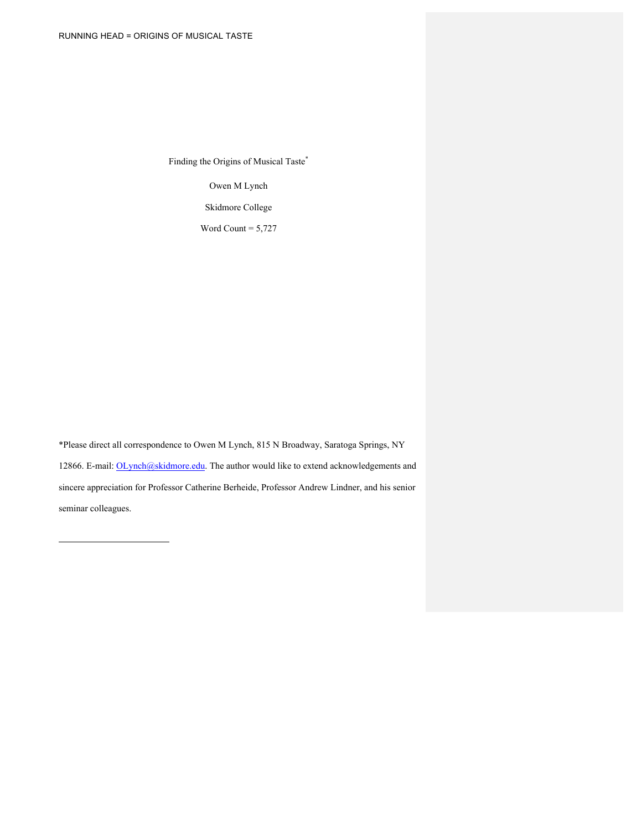Finding the Origins of Musical Taste\*

Owen M Lynch

Skidmore College

Word Count  $= 5,727$ 

\*Please direct all correspondence to Owen M Lynch, 815 N Broadway, Saratoga Springs, NY 12866. E-mail: OLynch@skidmore.edu. The author would like to extend acknowledgements and sincere appreciation for Professor Catherine Berheide, Professor Andrew Lindner, and his senior seminar colleagues.

l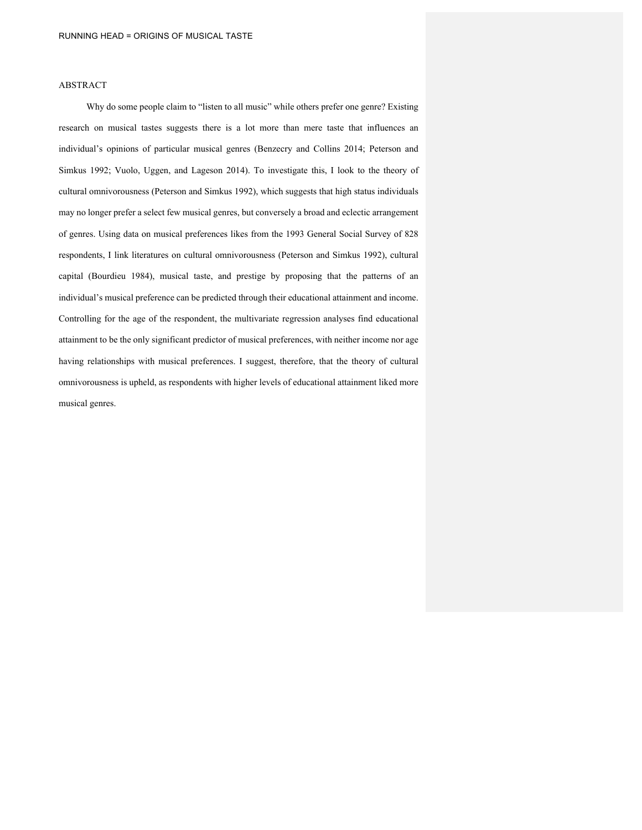# ABSTRACT

Why do some people claim to "listen to all music" while others prefer one genre? Existing research on musical tastes suggests there is a lot more than mere taste that influences an individual's opinions of particular musical genres (Benzecry and Collins 2014; Peterson and Simkus 1992; Vuolo, Uggen, and Lageson 2014). To investigate this, I look to the theory of cultural omnivorousness (Peterson and Simkus 1992), which suggests that high status individuals may no longer prefer a select few musical genres, but conversely a broad and eclectic arrangement of genres. Using data on musical preferences likes from the 1993 General Social Survey of 828 respondents, I link literatures on cultural omnivorousness (Peterson and Simkus 1992), cultural capital (Bourdieu 1984), musical taste, and prestige by proposing that the patterns of an individual's musical preference can be predicted through their educational attainment and income. Controlling for the age of the respondent, the multivariate regression analyses find educational attainment to be the only significant predictor of musical preferences, with neither income nor age having relationships with musical preferences. I suggest, therefore, that the theory of cultural omnivorousness is upheld, as respondents with higher levels of educational attainment liked more musical genres.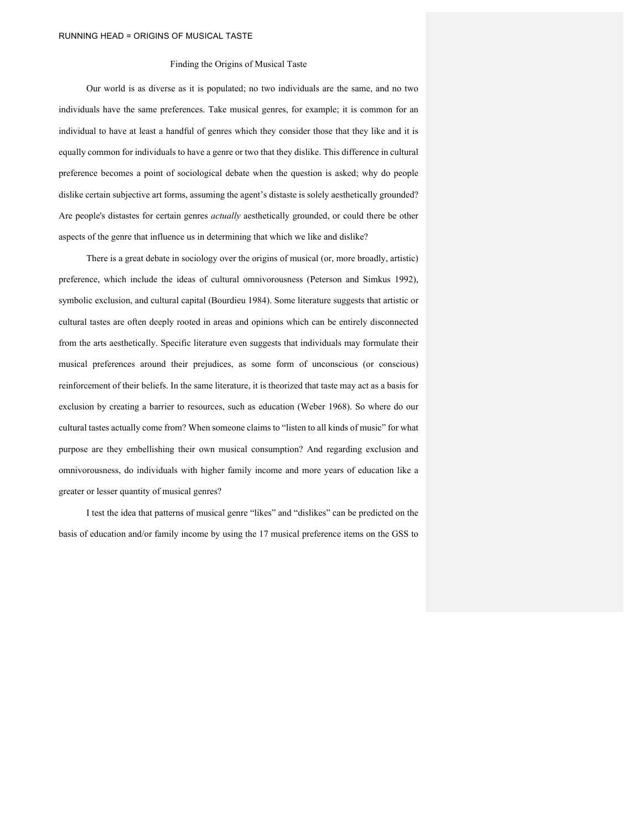# Finding the Origins of Musical Taste

Our world is as diverse as it is populated; no two individuals are the same, and no two individuals have the same preferences. Take musical genres, for example; it is common for an individual to have at least a handful of genres which they consider those that they like and it is equally common for individuals to have a genre or two that they dislike. This difference in cultural preference becomes a point of sociological debate when the question is asked; why do people dislike certain subjective art forms, assuming the agent's distaste is solely aesthetically grounded? Are people's distastes for certain genres *actually* aesthetically grounded, or could there be other aspects of the genre that influence us in determining that which we like and dislike?

There is a great debate in sociology over the origins of musical (or, more broadly, artistic) preference, which include the ideas of cultural omnivorousness (Peterson and Simkus 1992), symbolic exclusion, and cultural capital (Bourdieu 1984). Some literature suggests that artistic or cultural tastes are often deeply rooted in areas and opinions which can be entirely disconnected from the arts aesthetically. Specific literature even suggests that individuals may formulate their musical preferences around their prejudices, as some form of unconscious (or conscious) reinforcement of their beliefs. In the same literature, it is theorized that taste may act as a basis for exclusion by creating a barrier to resources, such as education (Weber 1968). So where do our cultural tastes actually come from? When someone claims to "listen to all kinds of music" for what purpose are they embellishing their own musical consumption? And regarding exclusion and omnivorousness, do individuals with higher family income and more years of education like a greater or lesser quantity of musical genres?

I test the idea that patterns of musical genre "likes" and "dislikes" can be predicted on the basis of education and/or family income by using the 17 musical preference items on the GSS to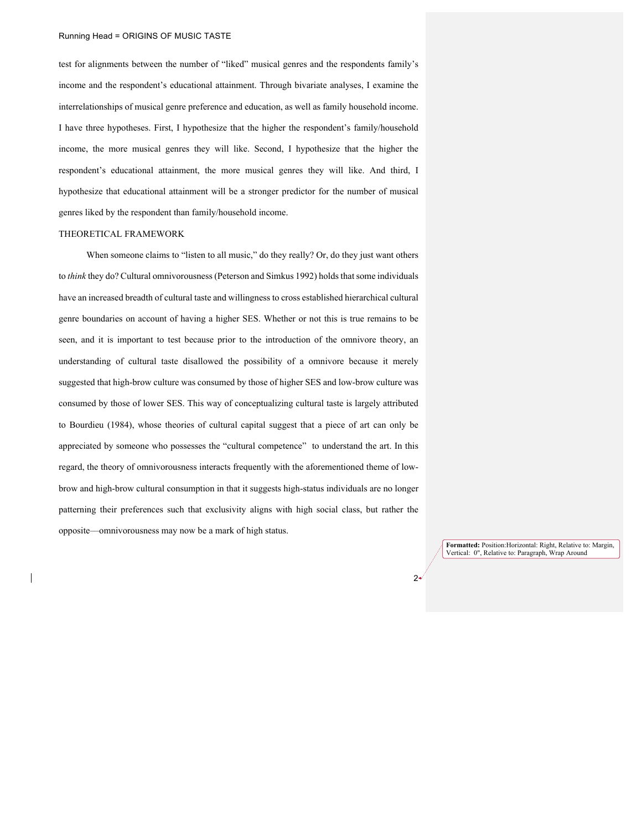test for alignments between the number of "liked" musical genres and the respondents family's income and the respondent's educational attainment. Through bivariate analyses, I examine the interrelationships of musical genre preference and education, as well as family household income. I have three hypotheses. First, I hypothesize that the higher the respondent's family/household income, the more musical genres they will like. Second, I hypothesize that the higher the respondent's educational attainment, the more musical genres they will like. And third, I hypothesize that educational attainment will be a stronger predictor for the number of musical genres liked by the respondent than family/household income.

# THEORETICAL FRAMEWORK

When someone claims to "listen to all music," do they really? Or, do they just want others to *think* they do? Cultural omnivorousness(Peterson and Simkus 1992) holds that some individuals have an increased breadth of cultural taste and willingness to cross established hierarchical cultural genre boundaries on account of having a higher SES. Whether or not this is true remains to be seen, and it is important to test because prior to the introduction of the omnivore theory, an understanding of cultural taste disallowed the possibility of a omnivore because it merely suggested that high-brow culture was consumed by those of higher SES and low-brow culture was consumed by those of lower SES. This way of conceptualizing cultural taste is largely attributed to Bourdieu (1984), whose theories of cultural capital suggest that a piece of art can only be appreciated by someone who possesses the "cultural competence" to understand the art. In this regard, the theory of omnivorousness interacts frequently with the aforementioned theme of lowbrow and high-brow cultural consumption in that it suggests high-status individuals are no longer patterning their preferences such that exclusivity aligns with high social class, but rather the opposite––omnivorousness may now be a mark of high status.

> **Formatted:** Position:Horizontal: Right, Relative to: Margin, Vertical: 0", Relative to: Paragraph, Wrap Around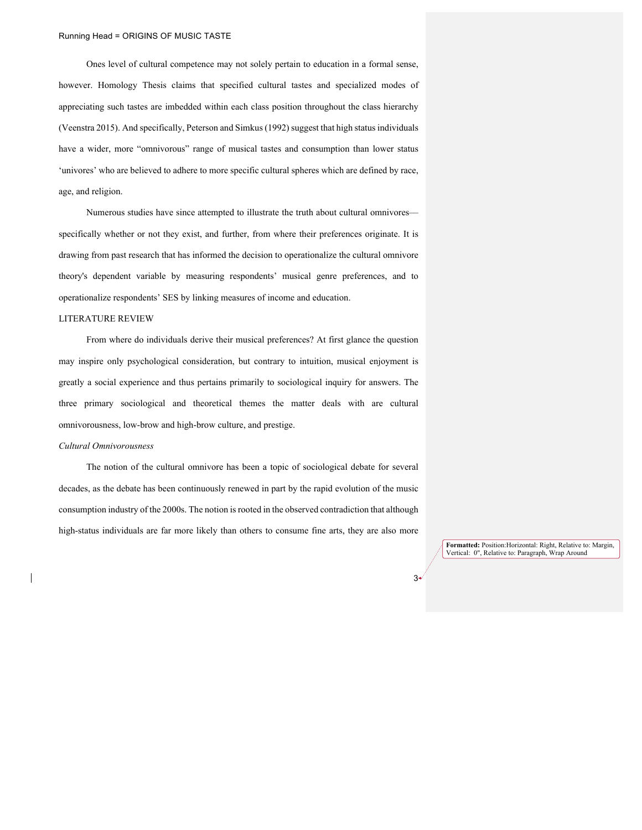Ones level of cultural competence may not solely pertain to education in a formal sense, however. Homology Thesis claims that specified cultural tastes and specialized modes of appreciating such tastes are imbedded within each class position throughout the class hierarchy (Veenstra 2015). And specifically, Peterson and Simkus (1992) suggest that high status individuals have a wider, more "omnivorous" range of musical tastes and consumption than lower status 'univores' who are believed to adhere to more specific cultural spheres which are defined by race, age, and religion.

Numerous studies have since attempted to illustrate the truth about cultural omnivores–– specifically whether or not they exist, and further, from where their preferences originate. It is drawing from past research that has informed the decision to operationalize the cultural omnivore theory's dependent variable by measuring respondents' musical genre preferences, and to operationalize respondents' SES by linking measures of income and education.

#### LITERATURE REVIEW

From where do individuals derive their musical preferences? At first glance the question may inspire only psychological consideration, but contrary to intuition, musical enjoyment is greatly a social experience and thus pertains primarily to sociological inquiry for answers. The three primary sociological and theoretical themes the matter deals with are cultural omnivorousness, low-brow and high-brow culture, and prestige.

#### *Cultural Omnivorousness*

The notion of the cultural omnivore has been a topic of sociological debate for several decades, as the debate has been continuously renewed in part by the rapid evolution of the music consumption industry of the 2000s. The notion is rooted in the observed contradiction that although high-status individuals are far more likely than others to consume fine arts, they are also more

> **Formatted:** Position:Horizontal: Right, Relative to: Margin, Vertical: 0", Relative to: Paragraph, Wrap Around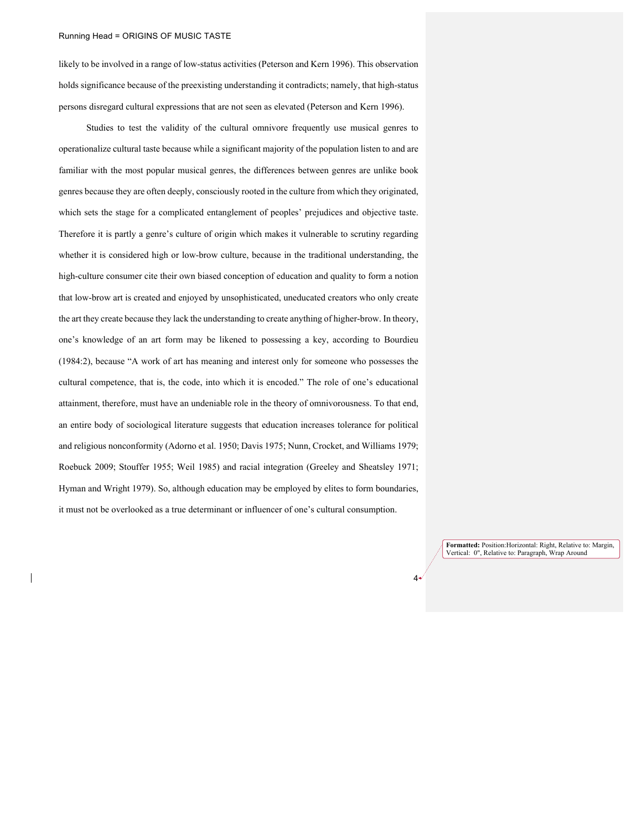likely to be involved in a range of low-status activities (Peterson and Kern 1996). This observation holds significance because of the preexisting understanding it contradicts; namely, that high-status persons disregard cultural expressions that are not seen as elevated (Peterson and Kern 1996).

Studies to test the validity of the cultural omnivore frequently use musical genres to operationalize cultural taste because while a significant majority of the population listen to and are familiar with the most popular musical genres, the differences between genres are unlike book genres because they are often deeply, consciously rooted in the culture from which they originated, which sets the stage for a complicated entanglement of peoples' prejudices and objective taste. Therefore it is partly a genre's culture of origin which makes it vulnerable to scrutiny regarding whether it is considered high or low-brow culture, because in the traditional understanding, the high-culture consumer cite their own biased conception of education and quality to form a notion that low-brow art is created and enjoyed by unsophisticated, uneducated creators who only create the art they create because they lack the understanding to create anything of higher-brow. In theory, one's knowledge of an art form may be likened to possessing a key, according to Bourdieu (1984:2), because "A work of art has meaning and interest only for someone who possesses the cultural competence, that is, the code, into which it is encoded." The role of one's educational attainment, therefore, must have an undeniable role in the theory of omnivorousness. To that end, an entire body of sociological literature suggests that education increases tolerance for political and religious nonconformity (Adorno et al. 1950; Davis 1975; Nunn, Crocket, and Williams 1979; Roebuck 2009; Stouffer 1955; Weil 1985) and racial integration (Greeley and Sheatsley 1971; Hyman and Wright 1979). So, although education may be employed by elites to form boundaries, it must not be overlooked as a true determinant or influencer of one's cultural consumption.

> **Formatted:** Position:Horizontal: Right, Relative to: Margin, Vertical: 0", Relative to: Paragraph, Wrap Around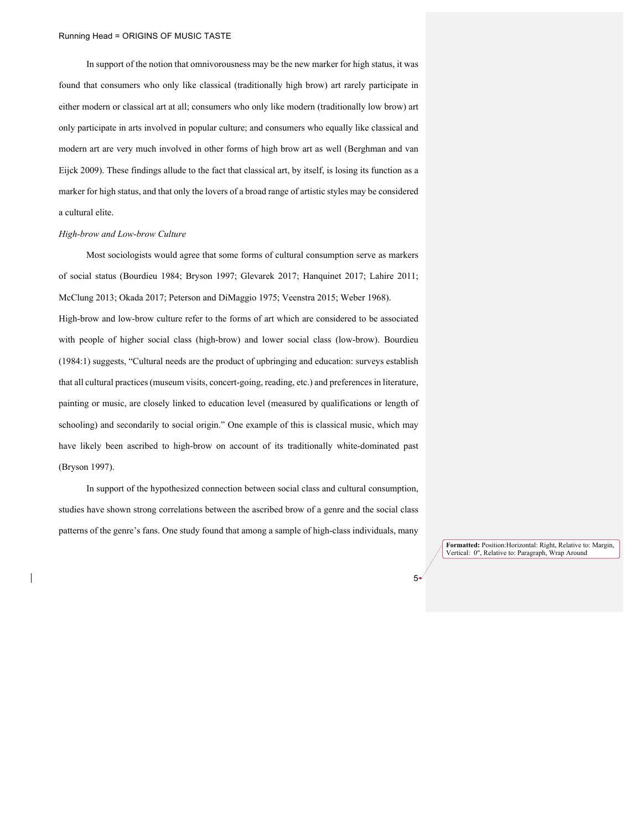In support of the notion that omnivorousness may be the new marker for high status, it was found that consumers who only like classical (traditionally high brow) art rarely participate in either modern or classical art at all; consumers who only like modern (traditionally low brow) art only participate in arts involved in popular culture; and consumers who equally like classical and modern art are very much involved in other forms of high brow art as well (Berghman and van Eijck 2009). These findings allude to the fact that classical art, by itself, is losing its function as a marker for high status, and that only the lovers of a broad range of artistic styles may be considered a cultural elite.

#### *High-brow and Low-brow Culture*

Most sociologists would agree that some forms of cultural consumption serve as markers of social status (Bourdieu 1984; Bryson 1997; Glevarek 2017; Hanquinet 2017; Lahire 2011; McClung 2013; Okada 2017; Peterson and DiMaggio 1975; Veenstra 2015; Weber 1968). High-brow and low-brow culture refer to the forms of art which are considered to be associated with people of higher social class (high-brow) and lower social class (low-brow). Bourdieu (1984:1) suggests, "Cultural needs are the product of upbringing and education: surveys establish that all cultural practices (museum visits, concert-going, reading, etc.) and preferences in literature, painting or music, are closely linked to education level (measured by qualifications or length of schooling) and secondarily to social origin." One example of this is classical music, which may have likely been ascribed to high-brow on account of its traditionally white-dominated past (Bryson 1997).

In support of the hypothesized connection between social class and cultural consumption, studies have shown strong correlations between the ascribed brow of a genre and the social class patterns of the genre's fans. One study found that among a sample of high-class individuals, many

> **Formatted:** Position:Horizontal: Right, Relative to: Margin, Vertical: 0", Relative to: Paragraph, Wrap Around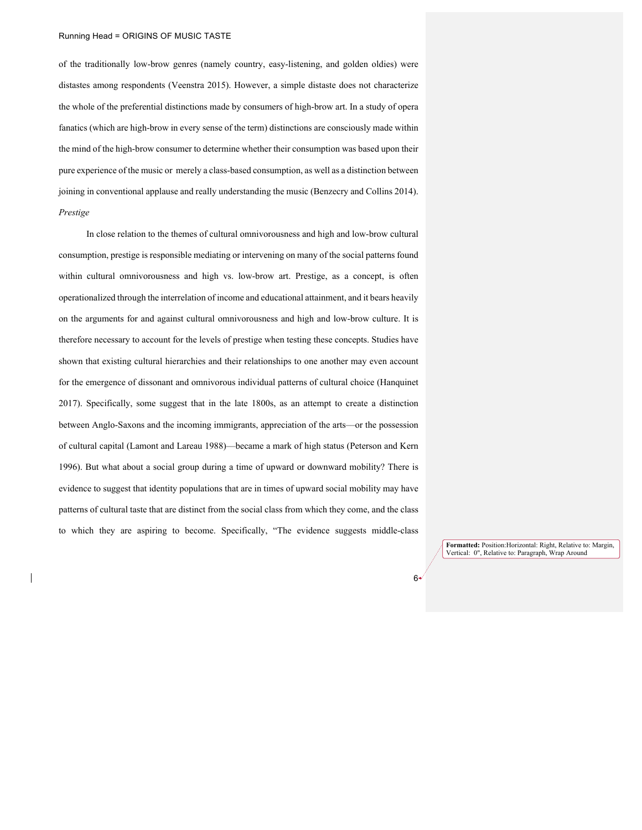of the traditionally low-brow genres (namely country, easy-listening, and golden oldies) were distastes among respondents (Veenstra 2015). However, a simple distaste does not characterize the whole of the preferential distinctions made by consumers of high-brow art. In a study of opera fanatics (which are high-brow in every sense of the term) distinctions are consciously made within the mind of the high-brow consumer to determine whether their consumption was based upon their pure experience of the music or merely a class-based consumption, as well as a distinction between joining in conventional applause and really understanding the music (Benzecry and Collins 2014). *Prestige*

In close relation to the themes of cultural omnivorousness and high and low-brow cultural consumption, prestige is responsible mediating or intervening on many of the social patterns found within cultural omnivorousness and high vs. low-brow art. Prestige, as a concept, is often operationalized through the interrelation of income and educational attainment, and it bears heavily on the arguments for and against cultural omnivorousness and high and low-brow culture. It is therefore necessary to account for the levels of prestige when testing these concepts. Studies have shown that existing cultural hierarchies and their relationships to one another may even account for the emergence of dissonant and omnivorous individual patterns of cultural choice (Hanquinet 2017). Specifically, some suggest that in the late 1800s, as an attempt to create a distinction between Anglo-Saxons and the incoming immigrants, appreciation of the arts––or the possession of cultural capital (Lamont and Lareau 1988)––became a mark of high status (Peterson and Kern 1996). But what about a social group during a time of upward or downward mobility? There is evidence to suggest that identity populations that are in times of upward social mobility may have patterns of cultural taste that are distinct from the social class from which they come, and the class to which they are aspiring to become. Specifically, "The evidence suggests middle-class

> **Formatted:** Position:Horizontal: Right, Relative to: Margin, Vertical: 0", Relative to: Paragraph, Wrap Around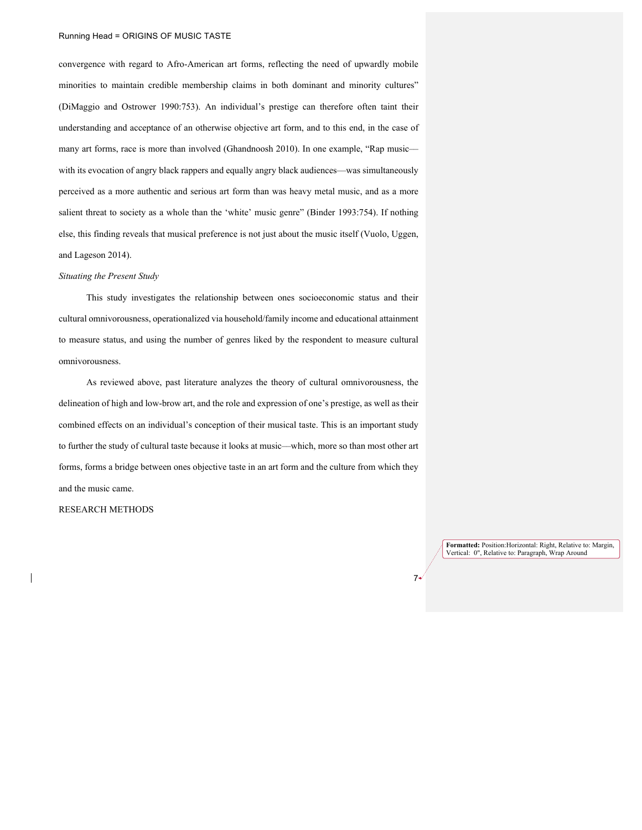convergence with regard to Afro-American art forms, reflecting the need of upwardly mobile minorities to maintain credible membership claims in both dominant and minority cultures" (DiMaggio and Ostrower 1990:753). An individual's prestige can therefore often taint their understanding and acceptance of an otherwise objective art form, and to this end, in the case of many art forms, race is more than involved (Ghandnoosh 2010). In one example, "Rap music with its evocation of angry black rappers and equally angry black audiences—was simultaneously perceived as a more authentic and serious art form than was heavy metal music, and as a more salient threat to society as a whole than the 'white' music genre" (Binder 1993:754). If nothing else, this finding reveals that musical preference is not just about the music itself (Vuolo, Uggen, and Lageson 2014).

#### *Situating the Present Study*

This study investigates the relationship between ones socioeconomic status and their cultural omnivorousness, operationalized via household/family income and educational attainment to measure status, and using the number of genres liked by the respondent to measure cultural omnivorousness.

As reviewed above, past literature analyzes the theory of cultural omnivorousness, the delineation of high and low-brow art, and the role and expression of one's prestige, as well as their combined effects on an individual's conception of their musical taste. This is an important study to further the study of cultural taste because it looks at music––which, more so than most other art forms, forms a bridge between ones objective taste in an art form and the culture from which they and the music came.

RESEARCH METHODS

**Formatted:** Position:Horizontal: Right, Relative to: Margin, Vertical: 0", Relative to: Paragraph, Wrap Around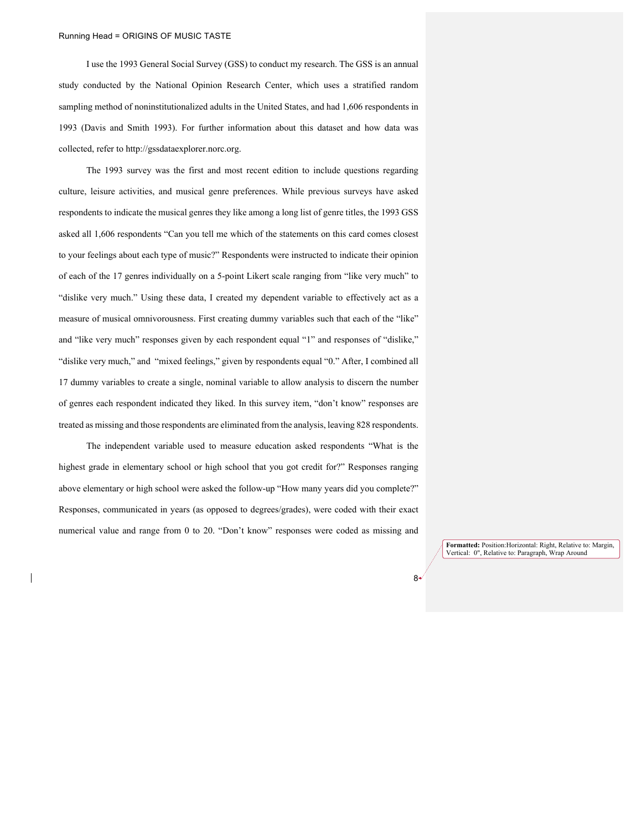I use the 1993 General Social Survey (GSS) to conduct my research. The GSS is an annual study conducted by the National Opinion Research Center, which uses a stratified random sampling method of noninstitutionalized adults in the United States, and had 1,606 respondents in 1993 (Davis and Smith 1993). For further information about this dataset and how data was collected, refer to http://gssdataexplorer.norc.org.

The 1993 survey was the first and most recent edition to include questions regarding culture, leisure activities, and musical genre preferences. While previous surveys have asked respondents to indicate the musical genres they like among a long list of genre titles, the 1993 GSS asked all 1,606 respondents "Can you tell me which of the statements on this card comes closest to your feelings about each type of music?" Respondents were instructed to indicate their opinion of each of the 17 genres individually on a 5-point Likert scale ranging from "like very much" to "dislike very much." Using these data, I created my dependent variable to effectively act as a measure of musical omnivorousness. First creating dummy variables such that each of the "like" and "like very much" responses given by each respondent equal "1" and responses of "dislike," "dislike very much," and "mixed feelings," given by respondents equal "0." After, I combined all 17 dummy variables to create a single, nominal variable to allow analysis to discern the number of genres each respondent indicated they liked. In this survey item, "don't know" responses are treated as missing and those respondents are eliminated from the analysis, leaving 828 respondents.

The independent variable used to measure education asked respondents "What is the highest grade in elementary school or high school that you got credit for?" Responses ranging above elementary or high school were asked the follow-up "How many years did you complete?" Responses, communicated in years (as opposed to degrees/grades), were coded with their exact numerical value and range from 0 to 20. "Don't know" responses were coded as missing and

> **Formatted:** Position:Horizontal: Right, Relative to: Margin, Vertical: 0", Relative to: Paragraph, Wrap Around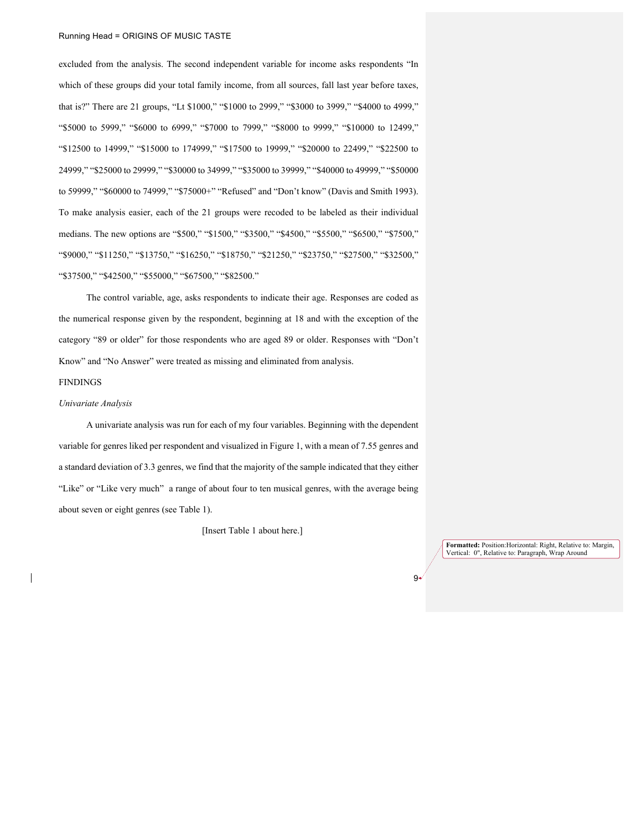#### Running Head = ORIGINS OF MUSIC TASTE

excluded from the analysis. The second independent variable for income asks respondents "In which of these groups did your total family income, from all sources, fall last year before taxes, that is?" There are 21 groups, "Lt \$1000," "\$1000 to 2999," "\$3000 to 3999," "\$4000 to 4999," "\$5000 to 5999," "\$6000 to 6999," "\$7000 to 7999," "\$8000 to 9999," "\$10000 to 12499," "\$12500 to 14999," "\$15000 to 174999," "\$17500 to 19999," "\$20000 to 22499," "\$22500 to 24999," "\$25000 to 29999," "\$30000 to 34999," "\$35000 to 39999," "\$40000 to 49999," "\$50000 to 59999," "\$60000 to 74999," "\$75000+" "Refused" and "Don't know" (Davis and Smith 1993). To make analysis easier, each of the 21 groups were recoded to be labeled as their individual medians. The new options are "\$500," "\$1500," "\$3500," "\$4500," "\$5500," "\$6500," "\$7500," "\$9000," "\$11250," "\$13750," "\$16250," "\$18750," "\$21250," "\$23750," "\$27500," "\$32500," "\$37500," "\$42500," "\$55000," "\$67500," "\$82500."

The control variable, age, asks respondents to indicate their age. Responses are coded as the numerical response given by the respondent, beginning at 18 and with the exception of the category "89 or older" for those respondents who are aged 89 or older. Responses with "Don't Know" and "No Answer" were treated as missing and eliminated from analysis.

# FINDINGS

#### *Univariate Analysis*

A univariate analysis was run for each of my four variables. Beginning with the dependent variable for genres liked per respondent and visualized in Figure 1, with a mean of 7.55 genres and a standard deviation of 3.3 genres, we find that the majority of the sample indicated that they either "Like" or "Like very much" a range of about four to ten musical genres, with the average being about seven or eight genres (see Table 1).

[Insert Table 1 about here.]

**Formatted:** Position:Horizontal: Right, Relative to: Margin, Vertical: 0", Relative to: Paragraph, Wrap Around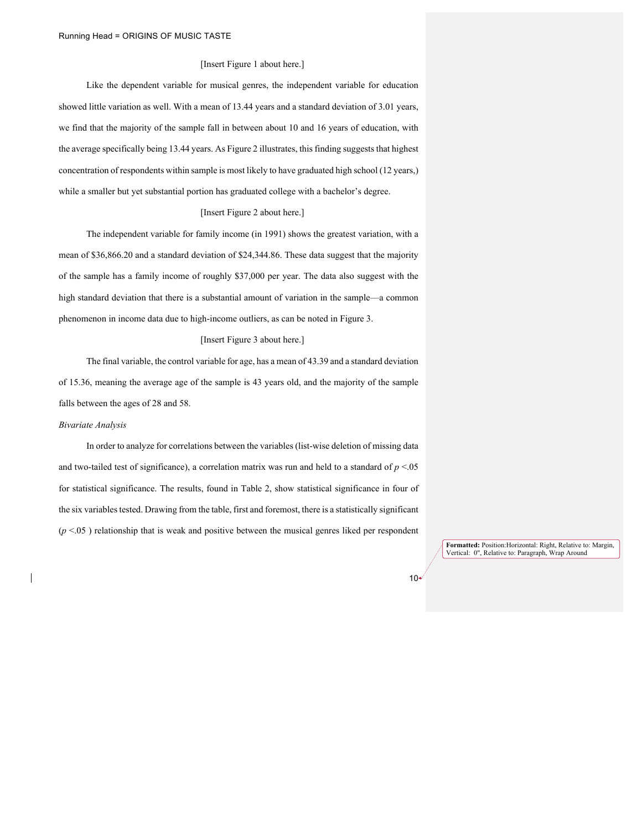#### [Insert Figure 1 about here.]

Like the dependent variable for musical genres, the independent variable for education showed little variation as well. With a mean of 13.44 years and a standard deviation of 3.01 years, we find that the majority of the sample fall in between about 10 and 16 years of education, with the average specifically being 13.44 years. As Figure 2 illustrates, this finding suggests that highest concentration of respondents within sample is most likely to have graduated high school (12 years,) while a smaller but yet substantial portion has graduated college with a bachelor's degree.

#### [Insert Figure 2 about here.]

The independent variable for family income (in 1991) shows the greatest variation, with a mean of \$36,866.20 and a standard deviation of \$24,344.86. These data suggest that the majority of the sample has a family income of roughly \$37,000 per year. The data also suggest with the high standard deviation that there is a substantial amount of variation in the sample—a common phenomenon in income data due to high-income outliers, as can be noted in Figure 3.

#### [Insert Figure 3 about here.]

The final variable, the control variable for age, has a mean of 43.39 and a standard deviation of 15.36, meaning the average age of the sample is 43 years old, and the majority of the sample falls between the ages of 28 and 58.

#### *Bivariate Analysis*

In order to analyze for correlations between the variables (list-wise deletion of missing data and two-tailed test of significance), a correlation matrix was run and held to a standard of *p* <.05 for statistical significance. The results, found in Table 2, show statistical significance in four of the six variables tested. Drawing from the table, first and foremost, there is a statistically significant  $(p < 0.05)$  relationship that is weak and positive between the musical genres liked per respondent

> **Formatted:** Position:Horizontal: Right, Relative to: Margin, Vertical: 0", Relative to: Paragraph, Wrap Around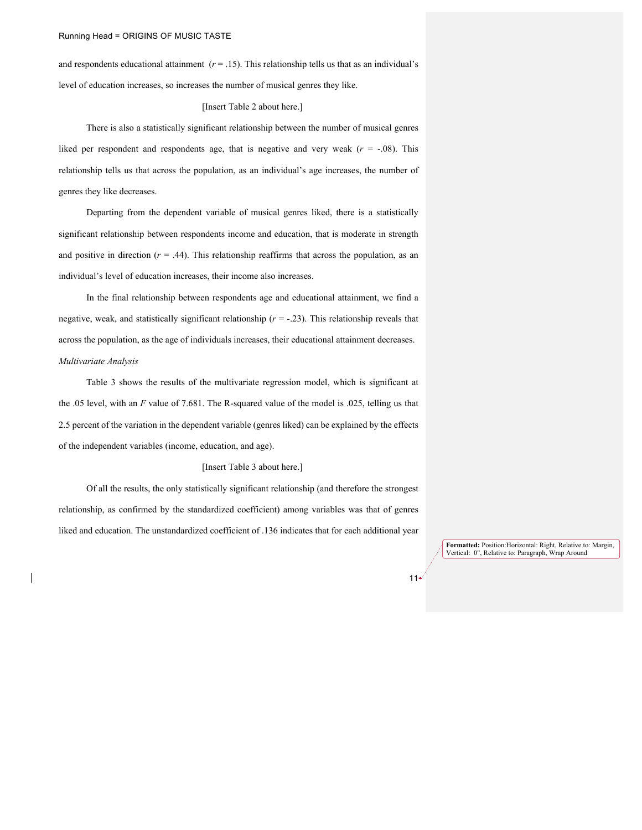and respondents educational attainment  $(r = .15)$ . This relationship tells us that as an individual's level of education increases, so increases the number of musical genres they like.

# [Insert Table 2 about here.]

There is also a statistically significant relationship between the number of musical genres liked per respondent and respondents age, that is negative and very weak  $(r = -.08)$ . This relationship tells us that across the population, as an individual's age increases, the number of genres they like decreases.

Departing from the dependent variable of musical genres liked, there is a statistically significant relationship between respondents income and education, that is moderate in strength and positive in direction  $(r = .44)$ . This relationship reaffirms that across the population, as an individual's level of education increases, their income also increases.

In the final relationship between respondents age and educational attainment, we find a negative, weak, and statistically significant relationship  $(r = -.23)$ . This relationship reveals that across the population, as the age of individuals increases, their educational attainment decreases. *Multivariate Analysis*

Table 3 shows the results of the multivariate regression model, which is significant at the .05 level, with an *F* value of 7.681. The R-squared value of the model is .025, telling us that 2.5 percent of the variation in the dependent variable (genres liked) can be explained by the effects of the independent variables (income, education, and age).

# [Insert Table 3 about here.]

Of all the results, the only statistically significant relationship (and therefore the strongest relationship, as confirmed by the standardized coefficient) among variables was that of genres liked and education. The unstandardized coefficient of .136 indicates that for each additional year

> **Formatted:** Position:Horizontal: Right, Relative to: Margin, Vertical: 0", Relative to: Paragraph, Wrap Around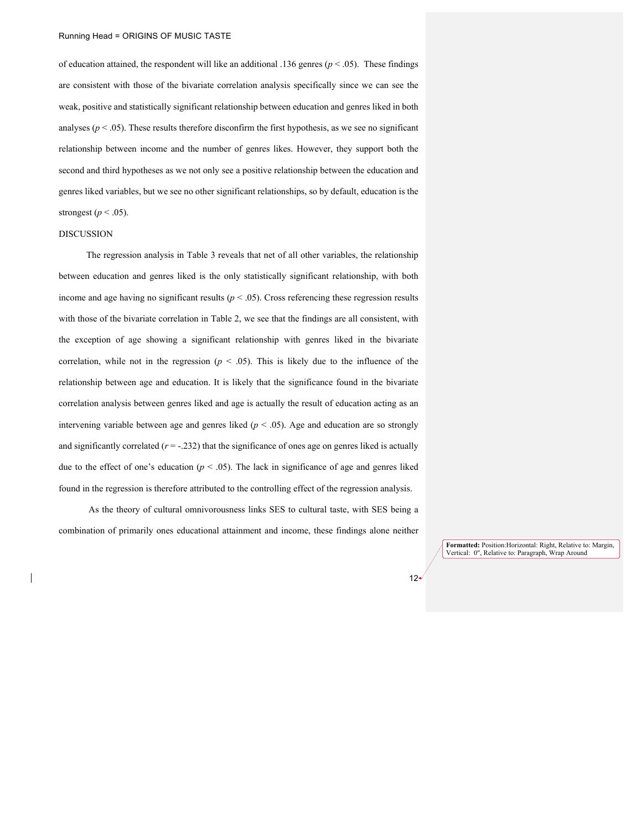of education attained, the respondent will like an additional .136 genres (*p* < .05). These findings are consistent with those of the bivariate correlation analysis specifically since we can see the weak, positive and statistically significant relationship between education and genres liked in both analyses ( $p < .05$ ). These results therefore disconfirm the first hypothesis, as we see no significant relationship between income and the number of genres likes. However, they support both the second and third hypotheses as we not only see a positive relationship between the education and genres liked variables, but we see no other significant relationships, so by default, education is the strongest ( $p < .05$ ).

# DISCUSSION

The regression analysis in Table 3 reveals that net of all other variables, the relationship between education and genres liked is the only statistically significant relationship, with both income and age having no significant results ( $p < .05$ ). Cross referencing these regression results with those of the bivariate correlation in Table 2, we see that the findings are all consistent, with the exception of age showing a significant relationship with genres liked in the bivariate correlation, while not in the regression  $(p < .05)$ . This is likely due to the influence of the relationship between age and education. It is likely that the significance found in the bivariate correlation analysis between genres liked and age is actually the result of education acting as an intervening variable between age and genres liked  $(p < .05)$ . Age and education are so strongly and significantly correlated  $(r = -.232)$  that the significance of ones age on genres liked is actually due to the effect of one's education ( $p < .05$ ). The lack in significance of age and genres liked found in the regression is therefore attributed to the controlling effect of the regression analysis.

As the theory of cultural omnivorousness links SES to cultural taste, with SES being a combination of primarily ones educational attainment and income, these findings alone neither

> **Formatted:** Position:Horizontal: Right, Relative to: Margin, Vertical: 0", Relative to: Paragraph, Wrap Around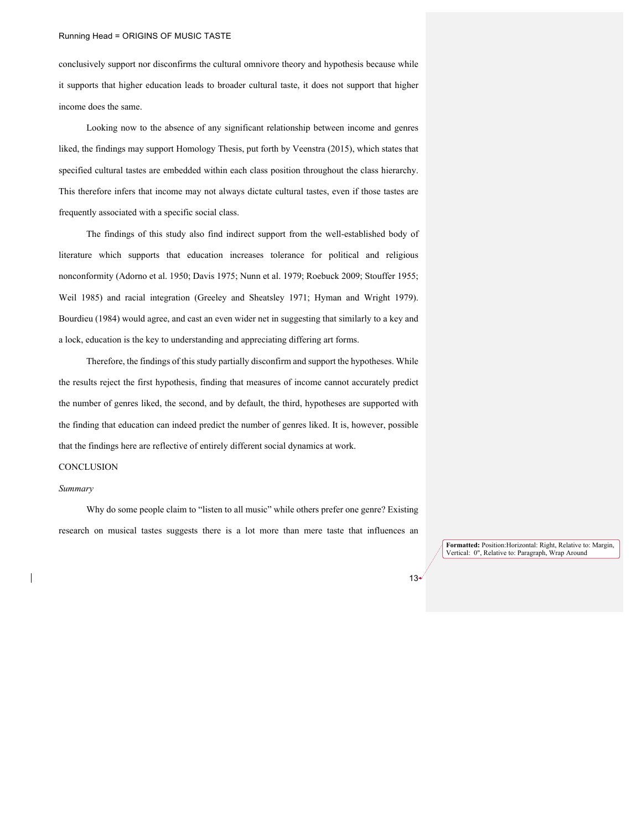conclusively support nor disconfirms the cultural omnivore theory and hypothesis because while it supports that higher education leads to broader cultural taste, it does not support that higher income does the same.

Looking now to the absence of any significant relationship between income and genres liked, the findings may support Homology Thesis, put forth by Veenstra (2015), which states that specified cultural tastes are embedded within each class position throughout the class hierarchy. This therefore infers that income may not always dictate cultural tastes, even if those tastes are frequently associated with a specific social class.

The findings of this study also find indirect support from the well-established body of literature which supports that education increases tolerance for political and religious nonconformity (Adorno et al. 1950; Davis 1975; Nunn et al. 1979; Roebuck 2009; Stouffer 1955; Weil 1985) and racial integration (Greeley and Sheatsley 1971; Hyman and Wright 1979). Bourdieu (1984) would agree, and cast an even wider net in suggesting that similarly to a key and a lock, education is the key to understanding and appreciating differing art forms.

Therefore, the findings of this study partially disconfirm and support the hypotheses. While the results reject the first hypothesis, finding that measures of income cannot accurately predict the number of genres liked, the second, and by default, the third, hypotheses are supported with the finding that education can indeed predict the number of genres liked. It is, however, possible that the findings here are reflective of entirely different social dynamics at work.

# **CONCLUSION**

#### *Summary*

Why do some people claim to "listen to all music" while others prefer one genre? Existing research on musical tastes suggests there is a lot more than mere taste that influences an

> **Formatted:** Position:Horizontal: Right, Relative to: Margin, Vertical: 0", Relative to: Paragraph, Wrap Around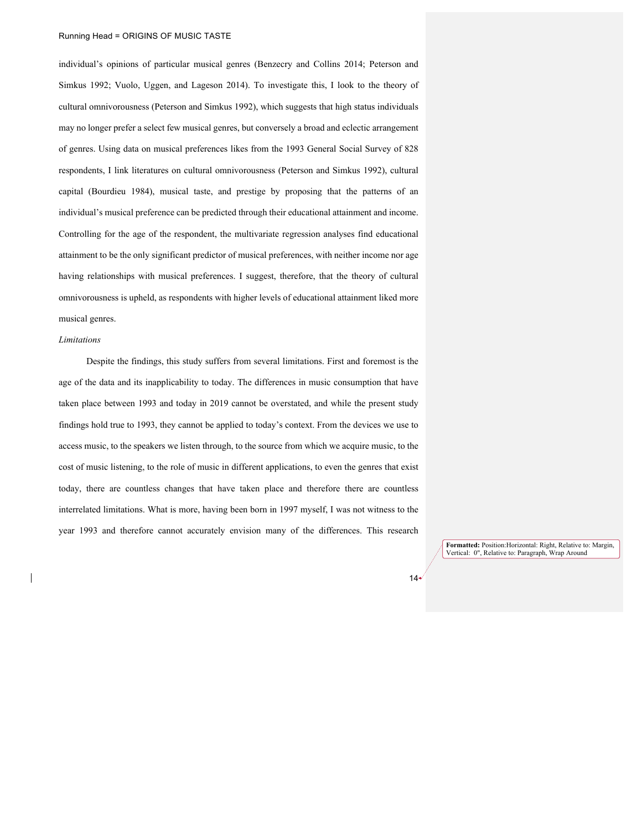individual's opinions of particular musical genres (Benzecry and Collins 2014; Peterson and Simkus 1992; Vuolo, Uggen, and Lageson 2014). To investigate this, I look to the theory of cultural omnivorousness (Peterson and Simkus 1992), which suggests that high status individuals may no longer prefer a select few musical genres, but conversely a broad and eclectic arrangement of genres. Using data on musical preferences likes from the 1993 General Social Survey of 828 respondents, I link literatures on cultural omnivorousness (Peterson and Simkus 1992), cultural capital (Bourdieu 1984), musical taste, and prestige by proposing that the patterns of an individual's musical preference can be predicted through their educational attainment and income. Controlling for the age of the respondent, the multivariate regression analyses find educational attainment to be the only significant predictor of musical preferences, with neither income nor age having relationships with musical preferences. I suggest, therefore, that the theory of cultural omnivorousness is upheld, as respondents with higher levels of educational attainment liked more musical genres.

#### *Limitations*

Despite the findings, this study suffers from several limitations. First and foremost is the age of the data and its inapplicability to today. The differences in music consumption that have taken place between 1993 and today in 2019 cannot be overstated, and while the present study findings hold true to 1993, they cannot be applied to today's context. From the devices we use to access music, to the speakers we listen through, to the source from which we acquire music, to the cost of music listening, to the role of music in different applications, to even the genres that exist today, there are countless changes that have taken place and therefore there are countless interrelated limitations. What is more, having been born in 1997 myself, I was not witness to the year 1993 and therefore cannot accurately envision many of the differences. This research

> **Formatted:** Position:Horizontal: Right, Relative to: Margin, Vertical: 0", Relative to: Paragraph, Wrap Around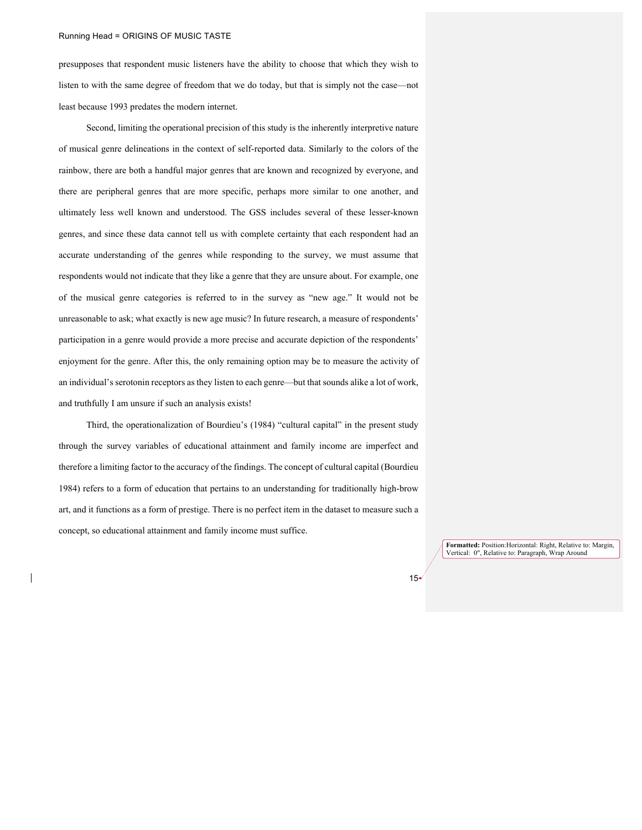presupposes that respondent music listeners have the ability to choose that which they wish to listen to with the same degree of freedom that we do today, but that is simply not the case––not least because 1993 predates the modern internet.

Second, limiting the operational precision of this study is the inherently interpretive nature of musical genre delineations in the context of self-reported data. Similarly to the colors of the rainbow, there are both a handful major genres that are known and recognized by everyone, and there are peripheral genres that are more specific, perhaps more similar to one another, and ultimately less well known and understood. The GSS includes several of these lesser-known genres, and since these data cannot tell us with complete certainty that each respondent had an accurate understanding of the genres while responding to the survey, we must assume that respondents would not indicate that they like a genre that they are unsure about. For example, one of the musical genre categories is referred to in the survey as "new age." It would not be unreasonable to ask; what exactly is new age music? In future research, a measure of respondents' participation in a genre would provide a more precise and accurate depiction of the respondents' enjoyment for the genre. After this, the only remaining option may be to measure the activity of an individual's serotonin receptors as they listen to each genre––but that sounds alike a lot of work, and truthfully I am unsure if such an analysis exists!

Third, the operationalization of Bourdieu's (1984) "cultural capital" in the present study through the survey variables of educational attainment and family income are imperfect and therefore a limiting factor to the accuracy of the findings. The concept of cultural capital (Bourdieu 1984) refers to a form of education that pertains to an understanding for traditionally high-brow art, and it functions as a form of prestige. There is no perfect item in the dataset to measure such a concept, so educational attainment and family income must suffice.

> **Formatted:** Position:Horizontal: Right, Relative to: Margin, Vertical: 0", Relative to: Paragraph, Wrap Around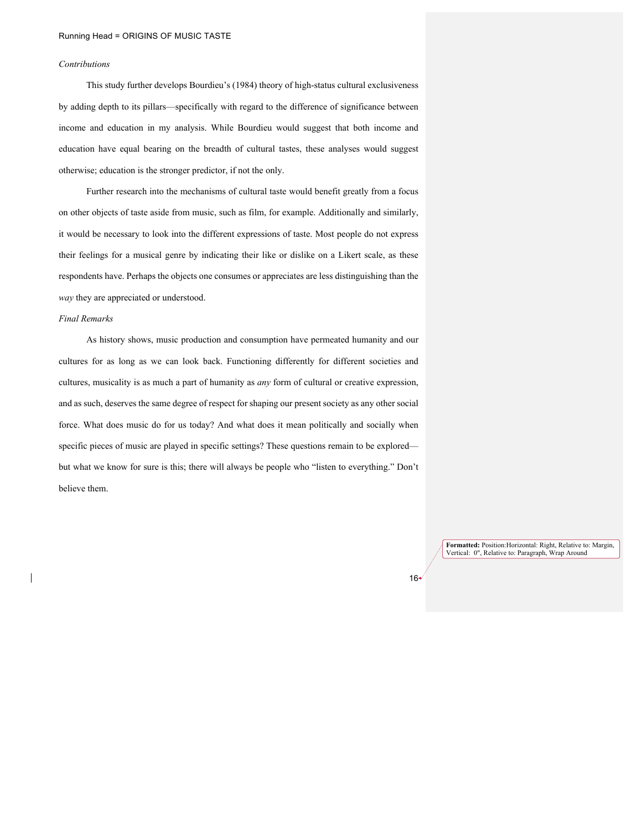# *Contributions*

This study further develops Bourdieu's (1984) theory of high-status cultural exclusiveness by adding depth to its pillars––specifically with regard to the difference of significance between income and education in my analysis. While Bourdieu would suggest that both income and education have equal bearing on the breadth of cultural tastes, these analyses would suggest otherwise; education is the stronger predictor, if not the only.

Further research into the mechanisms of cultural taste would benefit greatly from a focus on other objects of taste aside from music, such as film, for example. Additionally and similarly, it would be necessary to look into the different expressions of taste. Most people do not express their feelings for a musical genre by indicating their like or dislike on a Likert scale, as these respondents have. Perhaps the objects one consumes or appreciates are less distinguishing than the *way* they are appreciated or understood.

#### *Final Remarks*

As history shows, music production and consumption have permeated humanity and our cultures for as long as we can look back. Functioning differently for different societies and cultures, musicality is as much a part of humanity as *any* form of cultural or creative expression, and as such, deserves the same degree of respect for shaping our present society as any other social force. What does music do for us today? And what does it mean politically and socially when specific pieces of music are played in specific settings? These questions remain to be explored but what we know for sure is this; there will always be people who "listen to everything." Don't believe them.

> **Formatted:** Position:Horizontal: Right, Relative to: Margin, Vertical: 0", Relative to: Paragraph, Wrap Around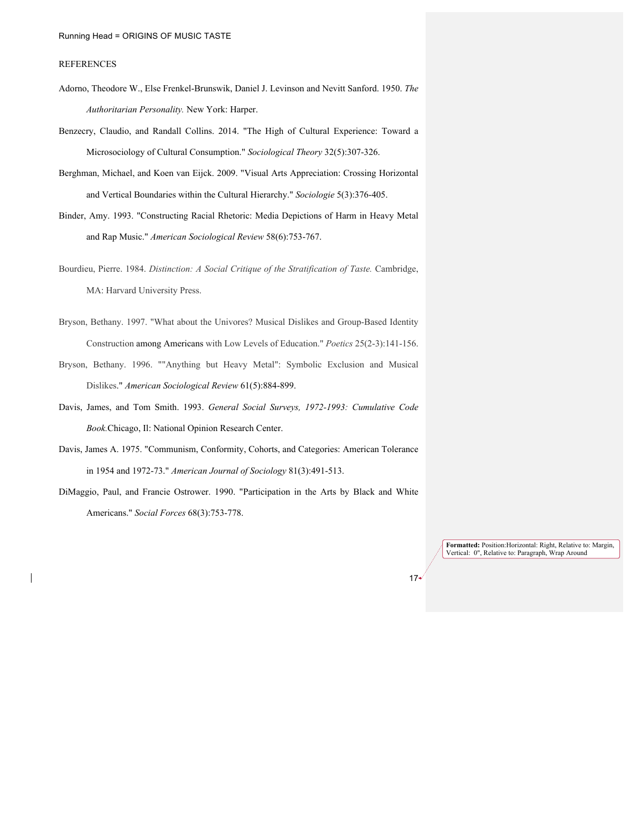# REFERENCES

- Adorno, Theodore W., Else Frenkel-Brunswik, Daniel J. Levinson and Nevitt Sanford. 1950. *The Authoritarian Personality.* New York: Harper.
- Benzecry, Claudio, and Randall Collins. 2014. "The High of Cultural Experience: Toward a Microsociology of Cultural Consumption." *Sociological Theory* 32(5):307-326.
- Berghman, Michael, and Koen van Eijck. 2009. "Visual Arts Appreciation: Crossing Horizontal and Vertical Boundaries within the Cultural Hierarchy." *Sociologie* 5(3):376-405.
- Binder, Amy. 1993. "Constructing Racial Rhetoric: Media Depictions of Harm in Heavy Metal and Rap Music." *American Sociological Review* 58(6):753-767.
- Bourdieu, Pierre. 1984. *Distinction: A Social Critique of the Stratification of Taste.* Cambridge, MA: Harvard University Press.
- Bryson, Bethany. 1997. "What about the Univores? Musical Dislikes and Group-Based Identity Construction among Americans with Low Levels of Education." *Poetics* 25(2-3):141-156.
- Bryson, Bethany. 1996. ""Anything but Heavy Metal": Symbolic Exclusion and Musical Dislikes." *American Sociological Review* 61(5):884-899.
- Davis, James, and Tom Smith. 1993. *General Social Surveys, 1972-1993: Cumulative Code Book.*Chicago, Il: National Opinion Research Center.
- Davis, James A. 1975. "Communism, Conformity, Cohorts, and Categories: American Tolerance in 1954 and 1972-73." *American Journal of Sociology* 81(3):491-513.
- DiMaggio, Paul, and Francie Ostrower. 1990. "Participation in the Arts by Black and White Americans." *Social Forces* 68(3):753-778.

**Formatted:** Position:Horizontal: Right, Relative to: Margin, Vertical: 0", Relative to: Paragraph, Wrap Around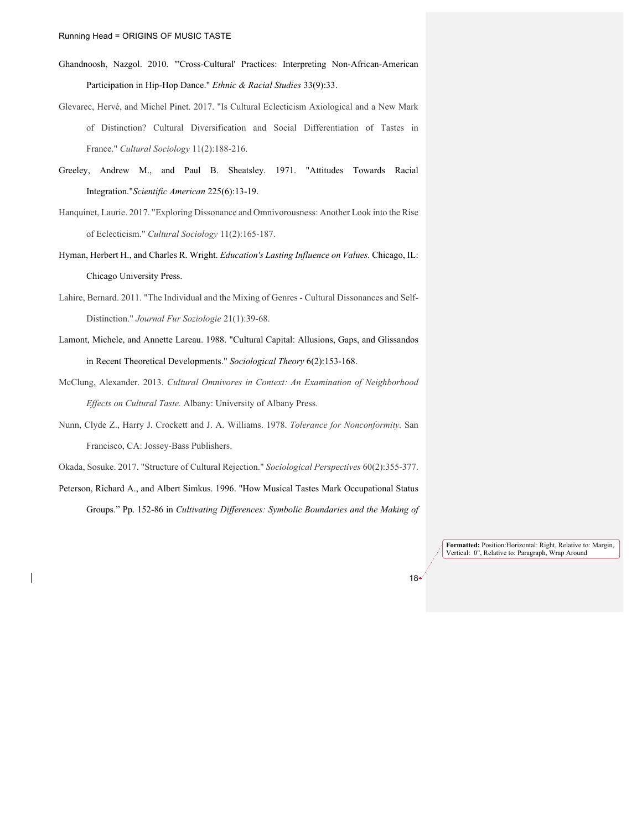- Ghandnoosh, Nazgol. 2010. "'Cross-Cultural' Practices: Interpreting Non-African-American Participation in Hip-Hop Dance." *Ethnic & Racial Studies* 33(9):33.
- Glevarec, Hervé, and Michel Pinet. 2017. "Is Cultural Eclecticism Axiological and a New Mark of Distinction? Cultural Diversification and Social Differentiation of Tastes in France." *Cultural Sociology* 11(2):188-216.
- Greeley, Andrew M., and Paul B. Sheatsley. 1971. "Attitudes Towards Racial Integration."*Scientific American* 225(6):13-19.
- Hanquinet, Laurie. 2017. "Exploring Dissonance and Omnivorousness: Another Look into the Rise of Eclecticism." *Cultural Sociology* 11(2):165-187.
- Hyman, Herbert H., and Charles R. Wright. *Education's Lasting Influence on Values.* Chicago, IL: Chicago University Press.
- Lahire, Bernard. 2011. "The Individual and the Mixing of Genres Cultural Dissonances and Self-Distinction." *Journal Fur Soziologie* 21(1):39-68.
- Lamont, Michele, and Annette Lareau. 1988. "Cultural Capital: Allusions, Gaps, and Glissandos in Recent Theoretical Developments." *Sociological Theory* 6(2):153-168.
- McClung, Alexander. 2013. *Cultural Omnivores in Context: An Examination of Neighborhood Effects on Cultural Taste.* Albany: University of Albany Press.
- Nunn, Clyde Z., Harry J. Crockett and J. A. Williams. 1978. *Tolerance for Nonconformity.* San Francisco, CA: Jossey-Bass Publishers.
- Okada, Sosuke. 2017. "Structure of Cultural Rejection." *Sociological Perspectives* 60(2):355-377.
- Peterson, Richard A., and Albert Simkus. 1996. "How Musical Tastes Mark Occupational Status Groups." Pp. 152-86 in *Cultivating Differences: Symbolic Boundaries and the Making of*

**Formatted:** Position:Horizontal: Right, Relative to: Margin, Vertical: 0", Relative to: Paragraph, Wrap Around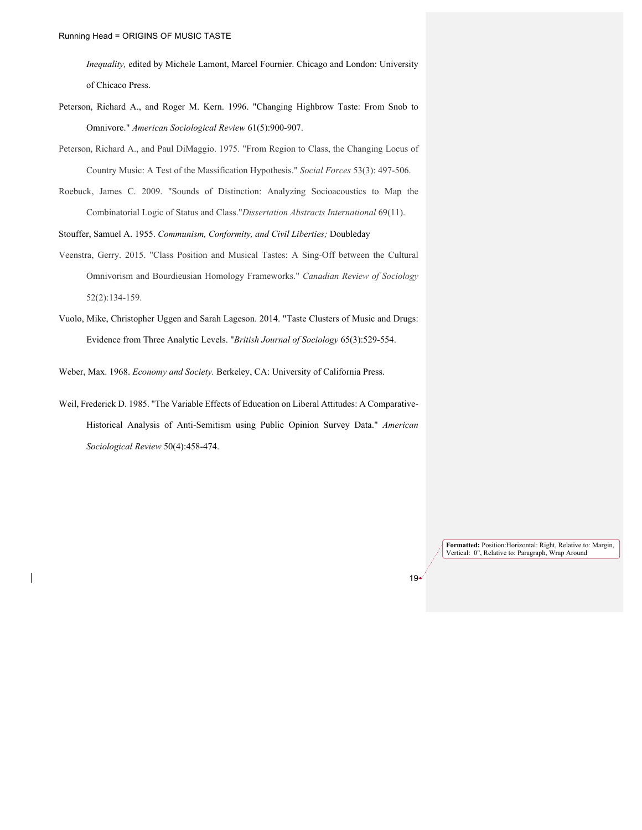*Inequality,* edited by Michele Lamont, Marcel Fournier. Chicago and London: University of Chicaco Press.

- Peterson, Richard A., and Roger M. Kern. 1996. "Changing Highbrow Taste: From Snob to Omnivore." *American Sociological Review* 61(5):900-907.
- Peterson, Richard A., and Paul DiMaggio. 1975. "From Region to Class, the Changing Locus of Country Music: A Test of the Massification Hypothesis." *Social Forces* 53(3): 497-506.
- Roebuck, James C. 2009. "Sounds of Distinction: Analyzing Socioacoustics to Map the Combinatorial Logic of Status and Class."*Dissertation Abstracts International* 69(11).

Stouffer, Samuel A. 1955. *Communism, Conformity, and Civil Liberties;* Doubleday

- Veenstra, Gerry. 2015. "Class Position and Musical Tastes: A Sing-Off between the Cultural Omnivorism and Bourdieusian Homology Frameworks." *Canadian Review of Sociology* 52(2):134-159.
- Vuolo, Mike, Christopher Uggen and Sarah Lageson. 2014. "Taste Clusters of Music and Drugs: Evidence from Three Analytic Levels. "*British Journal of Sociology* 65(3):529-554.

Weber, Max. 1968. *Economy and Society.* Berkeley, CA: University of California Press.

Weil, Frederick D. 1985. "The Variable Effects of Education on Liberal Attitudes: A Comparative-Historical Analysis of Anti-Semitism using Public Opinion Survey Data." *American Sociological Review* 50(4):458-474.

> **Formatted:** Position:Horizontal: Right, Relative to: Margin, Vertical: 0", Relative to: Paragraph, Wrap Around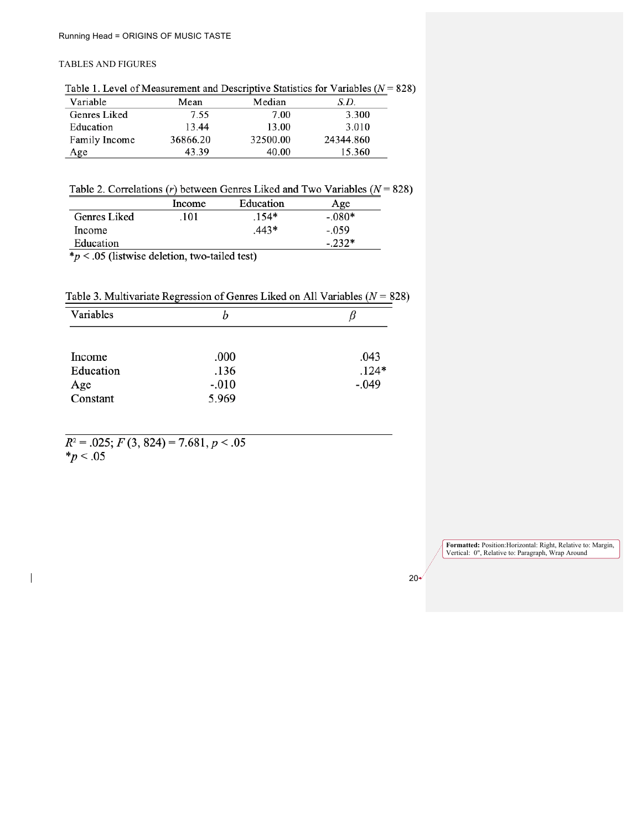# TABLES AND FIGURES

Table 1. Level of Measurement and Descriptive Statistics for Variables ( $N = 828$ )

| Variable      | Mean     | Median   | S.D.      |
|---------------|----------|----------|-----------|
| Genres Liked  | 7.55     | 7.00     | 3.300     |
| Education     | 13.44    | 13.00    | 3.010     |
| Family Income | 36866.20 | 32500.00 | 24344.860 |
| Age           | 43.39    | 40.00    | 15.360    |

Table 2. Correlations (r) between Genres Liked and Two Variables ( $N = 828$ )

| Education<br>Age |
|------------------|
| $-.080*$         |
| $-.059$          |
| $-232*$          |
|                  |

 $\ast_p$  < .05 (listwise deletion, two-tailed test)

Table 3. Multivariate Regression of Genres Liked on All Variables ( $N = 828$ )

| Variables | n       |         |
|-----------|---------|---------|
|           |         |         |
| Income    | .000    | .043    |
| Education | .136    | $.124*$ |
| Age       | $-.010$ | $-.049$ |
| Constant  | 5.969   |         |

 $R^2 = .025; F(3, 824) = 7.681, p < .05$  $*_{p}$  < .05

 $\overline{\phantom{a}}$ 

**Formatted:** Position:Horizontal: Right, Relative to: Margin, Vertical: 0", Relative to: Paragraph, Wrap Around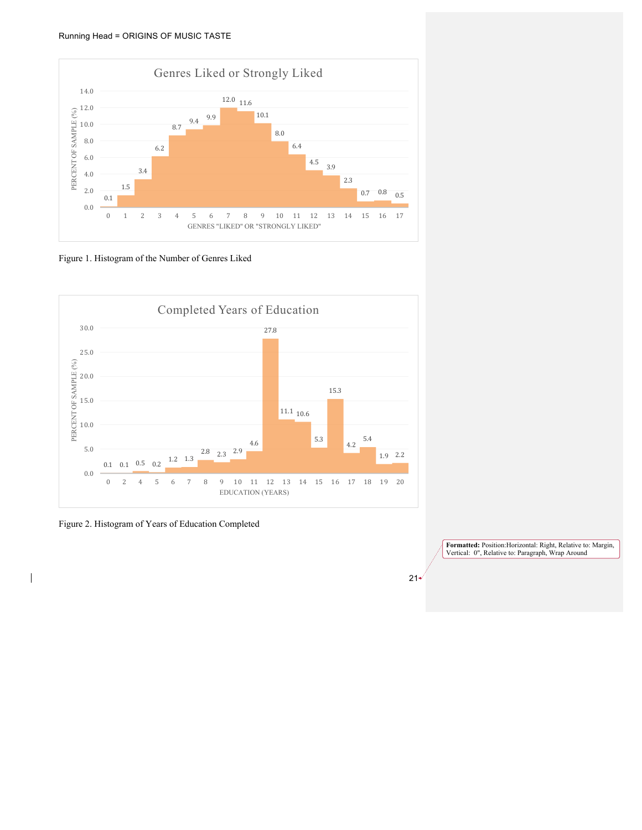

Figure 1. Histogram of the Number of Genres Liked



Figure 2. Histogram of Years of Education Completed

 $\overline{\phantom{a}}$ 

**Formatted:** Position:Horizontal: Right, Relative to: Margin, Vertical: 0", Relative to: Paragraph, Wrap Around